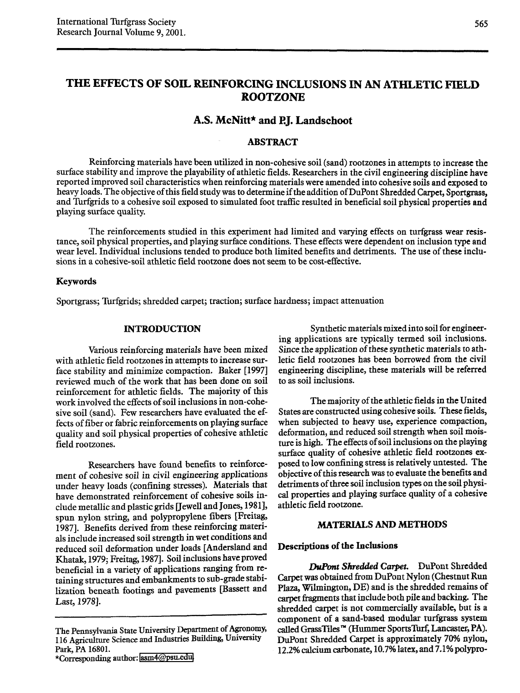# THE EFFECTS OF SOIL REINFORCING INCLUSIONS IN AN ATHLETIC FIELD ROOTZONE

# A.S. McNitt\* and P.J. Landschoot

# **ABSTRACT**

Reinforcing materials have been utilized in non-cohesive soil (sand) rootzones in attempts to increase the surface stability and improve the playability of athletic fields. Researchers in the civil engineering discipline have reported improved soil characteristics when reinforcing materials were amended into cohesive soils and exposed to heavy loads. The objective of this field study was to determine if the addition of DuPont Shredded Carpet, Sportgrass, and Turfgrids to a cohesive soil exposed to simulated foot traffic resulted in beneficial soil physical properties and playing surface quality.

The reinforcements studied in this experiment had limited and varying effects on turfgrass wear resistance, soil physical properties, and playing surface conditions. These effects were dependent on inclusion type and wear level. Individual inclusions tended to produce both limited benefits and detriments. The use of these inclusions in a cohesive-soil athletic field rootzone does not seem to be cost-effective.

#### Keywords

Sportgrass; Turfgrids; shredded carpet; traction; surface hardness; impact attenuation

# INTRODUCTION

Various reinforcing materials have been mixed with athletic field rootzones in attempts to increase surface stability and minimize compaction. Baker [1997] reviewed much of the work that has been done on soil reinforcement for athletic fields. The majority of this work involved the effects of soil inclusions in non-cohesive soil (sand). Few researchers have evaluated the effects of fiber or fabric reinforcements on playing surface quality and soil physical properties of cohesive athletic field rootzones.

Researchers have found benefits to reinforcement of cohesive soil in civil engineering applications under heavy loads (confining stresses). Materials that have demonstrated reinforcement of cohesive soils include metallic and plastic grids Uewell and Jones, 1981], spun nylon string, and polypropylene fibers [Freitag, 1987]. Benefits derived from these reinforcing materials include increased soil strength in wet conditions and reduced soil deformation under loads [Andersland and Khatak, 1979; Freitag, 1987]. Soil inclusions have proved beneficial in a variety of applications ranging from retaining structures and embankments to sub-grade stabilization beneath footings and pavements [Bassett and Last, 1978].

\*Corresponding author: [asm4@psu.edu.](mailto:asm4@psu.edu.)

Synthetic materials mixed into soil for engineering applications are typically termed soil inclusions. Since the application of these synthetic materials to athletic field rootzones has been borrowed from the civil engineering discipline, these materials will be referred to as soil inclusions.

The majority of the athletic fields in the United States are constructed using cohesive soils. These fields, when subjected to heavy use, experience compaction, deformation, and reduced soil strength when soil moisture is high. The effects of soil inclusions on the playing surface quality of cohesive athletic field rootzones exposed to low confining stress is relatively untested. The objective of this research was to evaluate the benefits and detriments of three soil inclusion types on the soil physical properties and playing surface quality of a cohesive athletic field rootzone.

# MATERIALS AND METHODS

# Descriptions of the Inclusions

*DwPont Shredded Carpet.* DuPont Shredded Carpet was obtained from DuPont Nylon (Chestnut Run Plaza, Wilmington, DE) and is the shredded remains of carpet fragments that include both pile and backing. The shredded carpet is not commercially available, but is a component of a sand-based modular turfgrass system called GrassTiles<sup>74</sup> (Hummer SportsTurf, Lancaster, PA). DuPont Shredded Carpet is approximately 70% nylon, 12.2% calcium carbonate, 10.7% latex, and 7.1% polypro-

The Pennsylvania State University Department of Agronomy, 116 Agriculture Science and Industries Building, University Park, PA 16801.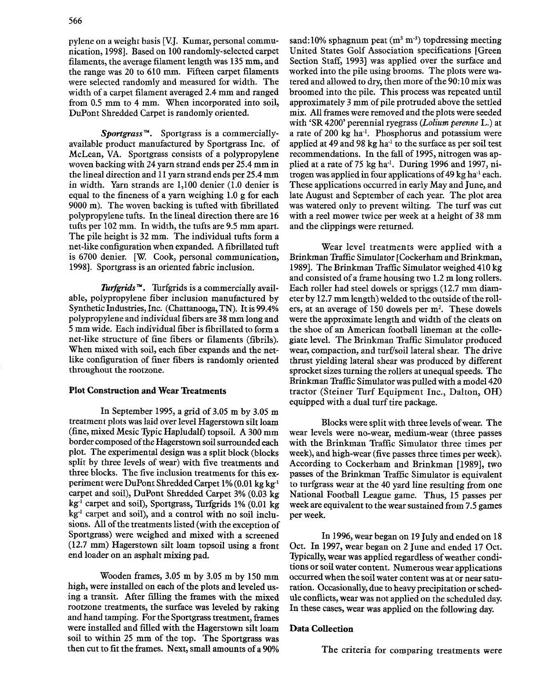pylene on a weight basis [V.J. Kumar, personal communication,1998]. Based on 100 randomly-selected carpet filaments, the average filament length was 135mm, and the range was 20 to 610 mm. Fifteen carpet filaments were selected randomly and measured for width. The width of a carpet filament averaged 2.4 mm and ranged from 0.5 mm to 4 mm. When incorporated into soil, DuPont Shredded Carpet is randomly oriented.

*Sportgrass*<sup>™</sup>. Sportgrass is a commerciallyavailable product manufactured by Sportgrass Inc. of McLean, VA. Sportgrass consists of a polypropylene woven backing with 24 yarn strand ends per 25.4 mm in the lineal direction and 11yarn strand ends per 25.4 mm in width. Yarn strands are 1,100 denier (1.0 denier is equal to the fineness of a yarn weighing 1.0 g for each 9000 m). The woven backing is tufted with fibrillated polypropylene tufts. In the lineal direction there are 16 tufts per 102 mm. In width, the tufts are 9.5 mm apart. The pile height is 32 mm. The individual tufts form a net-like configuration when expanded. A fibrillated tuft is 6700 denier. [W. Cook, personal communication, 1998]. Sportgrass is an oriented fabric inclusion.

*Turfgrids*<sup>™</sup>. Turfgrids is a commercially available, polypropylene fiber inclusion manufactured by Synthetic Industries, Inc. (Chattanooga, TN). It is 99.4% polypropylene and individual fibers are 38mm long and 5 mm wide. Each individual fiber is fibrillated to form a net-like structure of fine fibers or filaments (fibrils). When mixed with soil, each fiber expands and the netlike configuration of finer fibers is randomly oriented throughout the rootzone.

# Plot Construction and Wear Treatments

In September 1995, a grid of 3.05 m by 3.05 m treatment plots was laid over level Hagerstown silt loam (fine, mixed Mesic Typic Hapludalf) topsoil. A 300 mm border composed of the Hagerstown soil surrounded each plot. The experimental design was a split block (blocks split by three levels of wear) with five treatments and three blocks. The five inclusion treatments for this experiment were DuPont Shredded Carpet 1%(0.01 kg kg-1 carpet and soil), DuPont Shredded Carpet 3% (0.03 kg kg-i carpet and soil), Sportgrass, Turfgrids 1% (0.01 kg  $kg<sup>-1</sup>$  carpet and soil), and a control with no soil inclusions. All of the treatments listed (with the exception of Sportgrass) were weighed and mixed with a screened (12.7 mm) Hagerstown silt loam topsoil using a front end loader on an asphalt mixing pad.

Wooden frames, 3.05 m by 3.05 m by 150 mm high, were installed on each of the plots and leveled using a transit. After filling the frames with the mixed rootzone treatments, the surface was leveled by raking and hand tamping. For the Sportgrass treatment, frames were installed and filled with the Hagerstown silt loam soil to within 25 mm of the top. The Sportgrass was then cut to fit the frames. Next, small amounts of a 90%

sand:10% sphagnum peat ( $m^3 m^{-3}$ ) topdressing meeting United States Golf Association specifications [Green Section Staff, 1993] was applied over the surface and worked into the pile using brooms. The plots were watered and allowed to dry, then more of the 90:10 mix was broomed into the pile. This process was repeated until approximately 3 mm of pile protruded above the settled mix. All frames were removed and the plots were seeded with 'SR 4200' perennial ryegrass *(Latium perenne* L.) at a rate of 200 kg ha-!. Phosphorus and potassium were applied at 49 and 98 kg ha<sup>-1</sup> to the surface as per soil test recommendations. In the fall of 1995, nitrogen was applied at a rate of 75 kg ha<sup>-1</sup>. During 1996 and 1997, nitrogen was applied in four applications of  $49 \text{ kg}$  ha<sup>-1</sup> each. These applications occurred in early May and June, and late August and September of each year. The plot area was watered only to prevent wilting. The turf was cut with a reel mower twice per week at a height of 38 mm and the clippings were returned.

Wear level treatments were applied with a Brinkman Traffic Simulator [Cockerham and Brinkman, 1989]. The Brinkman Traffic Simulator weighed 410 kg and consisted of a frame housing two 1.2 m long rollers. Each roller had steel dowels or spriggs (12.7 mm diameter by 12.7mm length) welded to the outside of the rollers, at an average of 150 dowels per  $m<sup>2</sup>$ . These dowels were the approximate length and width of the cleats on the shoe of an American football lineman at the collegiate level. The Brinkman Traffic Simulator produced wear, compaction, and turf/soil lateral shear. The drive thrust yielding lateral shear was produced by different sprocket sizes turning the rollers at unequal speeds. The Brinkman Traffic Simulator was pulled with a model 420 tractor (Steiner Turf Equipment Inc., Dalton, OH) equipped with a dual turf tire package.

Blocks were split with three levels of wear. The wear levels were no-wear, medium-wear (three passes with the Brinkman Traffic Simulator three times per week), and high-wear (five passes three times per week). According to Cockerham and Brinkman [1989], two passes of the Brinkman Traffic Simulator is equivalent to turfgrass wear at the 40 yard line resulting from one National Football League game. Thus, 15 passes per week are equivalent to the wear sustained from 7.5 games per week.

In 1996, wear began on 19 July and ended on 18 Oct. In 1997, wear began on 2 June and ended 17 Oct. Typically, wear was applied regardless of weather conditions or soil water content. Numerous wear applications occurred when the soil water content was at or near saturation. Occasionally, due to heavy precipitation or schedule conflicts, wear was not applied on the scheduled day. In these cases, wear was applied on the following day.

## Data Collection

The criteria for comparing treatments were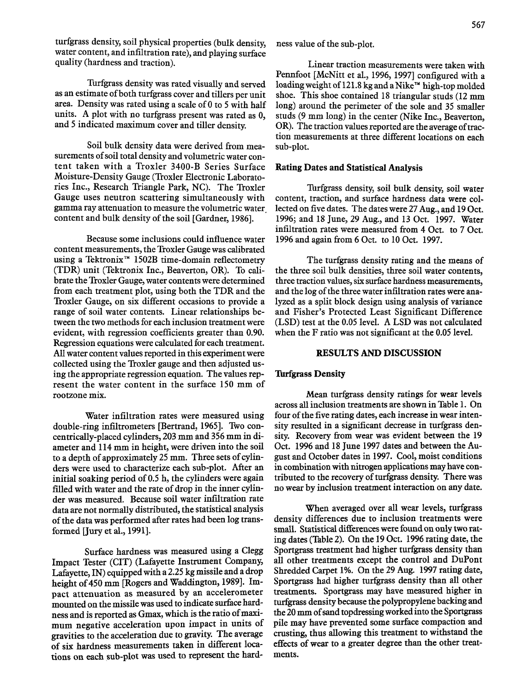turfgrass density, soil physical properties (bulk density, water content, and infiltration rate), and playing surface quality (hardness and traction).

Turfgrass density was rated visually and served as an estimate of both turfgrass cover and tillers per unit area. Density was rated using a scale of 0 to 5 with half units. A plot with no turfgrass present was rated as 0, and 5 indicated maximum cover and tiller density.

Soil bulk density data were derived from measurements of soil total density and volumetric water content taken with a Troxler 3400-B Series Surface Moisture-Density Gauge (Troxler Electronic Laboratories Inc., Research Triangle Park, NC). The Troxler Gauge uses neutron scattering simultaneously with gamma ray attenuation to measure the volumetric water content and bulk density of the soil [Gardner, 1986]..

Because some inclusions could influence water content measurements, the Troxler Gauge was calibrated using a Tektronix™ 1502B time-domain reflectometry (TDR) unit (Tektronix Inc., Beaverton, OR). To calibrate the Troxler Gauge, water contents were determined from each treatment plot, using both the TDR and the Troxler Gauge, on six different occasions to provide a range of soil water contents. Linear relationships between the two methods for each inclusion treatment were evident, with regression coefficients greater than 0.90. Regression equations were calculated for each treatment. All water content values reported in this experiment were collected using the Troxler gauge and then adjusted using the appropriate regression equation. The values represent the water content in the surface 150 mm of rootzone mix.

Water infiltration rates were measured using double-ring infiltrometers [Bertrand, 1965]. Two concentrically-placed cylinders, 203 mm and 356mm in diameter and 114mm in height, were driven into the soil to a depth of approximately 25mm. Three sets of cylinders were used to characterize each sub-plot. After an initial soaking period of 0.5 h, the cylinders were again filled with water and the rate of drop in the inner cylinder was measured. Because soil water infiltration rate data are not normally distributed, the statistical analysis of the data was performed after rates had been log transformed [Jury et al., 1991].

Surface hardness was measured using a Clegg Impact Tester (CIT) (Lafayette Instrument Company, Lafayette, IN) equipped with a 2.25kg missile and a drop height of 450 mm [Rogers and Waddington, 1989]. Impact attenuation as measured by an accelerometer mounted on the missile wasused to indicate surface hardness and is reported as Gmax, which is the ratio of maximum negative acceleration upon impact in units of gravities to the acceleration due to gravity. The average of six hardness measurements taken in different locations on each sub-plot was used to represent the hardness value of the sub-plot.

Linear traction measurements were taken with Pennfoot [McNitt et aI., 1996, 1997] configured with a loading weight of 121.8 kg and a Nike<sup>r\*</sup> high-top molded shoe. This shoe contained 18 triangular studs (12 mm long) around the perimeter of the sole and 35 smaller studs (9 mm long) in the center (Nike Inc., Beaverton, OR). The traction values reported are the average of traction measurements at three different locations on each sub-plot.

# Rating Dates and Statistical Analysis

Turfgrass density, soil bulk density, soil water content, traction, and surface hardness data were collected on five dates. The dates were 27 Aug., and 19 Oct. 1996; and 18 June, 29 Aug., and 13 Oct. 1997. Water infiltration rates were measured from 4 Oct. to 7 Oct. 1996 and again from 6 Oct. to 10 Oct. 1997.

The turfgrass density rating and the means of the three soil bulk densities, three soil water contents, three traction values, six surface hardness measurements, and the log of the three water infiltration rates were analyzed as a split block design using analysis of variance and Fisher's Protected Least Significant Difference (LSD) test at the 0.05 level. A LSD was not calculated when the F ratio was not significant at the 0.05 level.

# RESULTS AND DISCUSSION

#### **Turfgrass Density**

Mean turfgrass density ratings for wear levels across all inclusion treatments are shown in Table 1. On four of the five rating dates, each increase in wear intensity resulted in a significant decrease in turfgrass density. Recovery from wear was evident between the 19 Oct. 1996 and 18 June 1997 dates and between the August and October dates in 1997. Cool, moist conditions in combination with nitrogen applications may have contributed to the recovery of turfgrass density. There was no wear by inclusion treatment interaction on any date.

When averaged over all wear levels, turfgrass density differences due to inclusion treatments were small. Statistical differenceswere found on only two rating dates (Table 2). On the 19 Oct. 1996 rating date, the Sportgrass treatment had higher turfgrass density than all other treatments except the control and DuPont Shredded Carpet 1%. On the 29 Aug. 1997 rating date, Sportgrass had higher turfgrass density than all other treatments. Sportgrass may have measured higher in turfgrass density because the polypropylene backing and the 20 mm of sand topdressing worked into the Sportgrass pile may have prevented some surface compaction and crusting, thus allowing this treatment to withstand the effects of wear to a greater degree than the other treatments.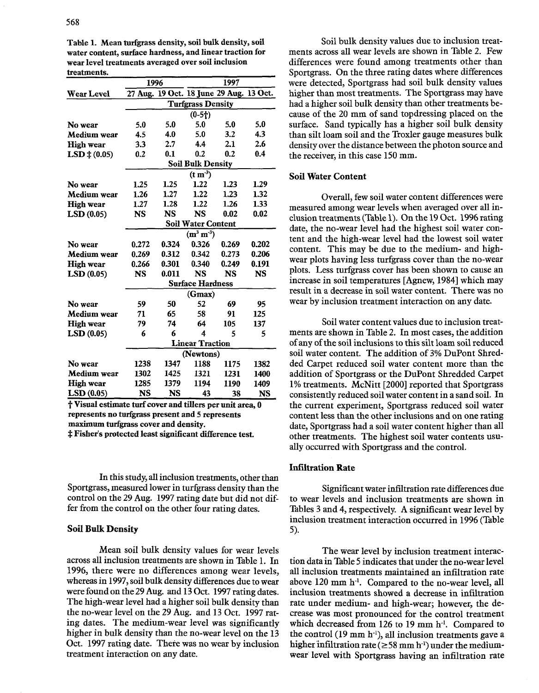| u valuuvillo.         |                         |                                       |                                         |       |           |  |  |
|-----------------------|-------------------------|---------------------------------------|-----------------------------------------|-------|-----------|--|--|
|                       | 1996                    |                                       | 1997                                    |       |           |  |  |
| <b>Wear Level</b>     |                         |                                       | 27 Aug. 19 Oct. 18 June 29 Aug. 13 Oct. |       |           |  |  |
|                       |                         |                                       | <b>Turfgrass Density</b>                |       |           |  |  |
|                       |                         |                                       | $(0-5)$                                 |       |           |  |  |
| No wear               | 5.0                     | 5.0                                   | 5.0                                     | 5.0   | 5.0       |  |  |
| Medium wear           | 4.5                     | 4.0                                   | 5.0                                     | 3.2   | 4.3       |  |  |
| <b>High wear</b>      | 3.3                     | 2.7                                   | 4.4                                     | 2.1   | 2.6       |  |  |
| $LSD \ddagger (0.05)$ | 0.2                     | 0.1                                   | 0.2                                     | 0.2   | 0.4       |  |  |
|                       |                         |                                       | <b>Soil Bulk Density</b>                |       |           |  |  |
|                       |                         |                                       | (t m <sup>3</sup> )                     |       |           |  |  |
| No wear               | 1.25                    | 1.25                                  | 1.22                                    | 1.23  | 1.29      |  |  |
| Medium wear           | 1.26                    | 1.27                                  | 1.22                                    | 1.23  | 1.32      |  |  |
| <b>High wear</b>      | 1.27                    | 1.28                                  | 1.22                                    | 1.26  | 1.33      |  |  |
| LSD(0.05)             | <b>NS</b>               | <b>NS</b>                             | <b>NS</b>                               | 0.02  | 0.02      |  |  |
|                       |                         | <b>Soil Water Content</b>             |                                         |       |           |  |  |
|                       |                         |                                       | $(m^3 m^{3})$                           |       |           |  |  |
| No wear               | 0.272                   | 0.324                                 | 0.326                                   | 0.269 | 0.202     |  |  |
| Medium wear           | 0.269                   | 0.312                                 | 0.342                                   | 0.273 | 0.206     |  |  |
| High wear             | 0.266                   | 0.301                                 | 0.340                                   | 0.249 | 0.191     |  |  |
| LSD(0.05)             | <b>NS</b>               | 0.011<br><b>NS</b><br><b>NS</b><br>NS |                                         |       |           |  |  |
|                       | <b>Surface Hardness</b> |                                       |                                         |       |           |  |  |
|                       | (Gmax)                  |                                       |                                         |       |           |  |  |
| No wear               | 59                      | 50                                    | 52                                      | 69    | 95        |  |  |
| Medium wear           | 71                      | 65                                    | 58                                      | 91    | 125       |  |  |
| <b>High wear</b>      | 79                      | 74                                    | 64                                      | 105   | 137       |  |  |
| LSD(0.05)             | 6                       | 6                                     | 4                                       | 5     | 5         |  |  |
|                       | <b>Linear Traction</b>  |                                       |                                         |       |           |  |  |
|                       | (Newtons)               |                                       |                                         |       |           |  |  |
| No wear               | 1238                    | 1347                                  | 1188                                    | 1175  | 1382      |  |  |
| Medium wear           | 1302                    | 1425                                  | 1321                                    | 1231  | 1400      |  |  |
| <b>High wear</b>      | 1285                    | 1379                                  | 1194                                    | 1190  | 1409      |  |  |
| LSD(0.05)             | NS                      | NS                                    | 43                                      | 38    | <b>NS</b> |  |  |

Table 1. Mean turfgrass density, soil bulk density, soil water content, surface hardness, and linear traction for wear level treatments averaged over soil inclusion treatments.

 $\underline{LSD(0.05)}$  NS NS 43 38 NS<br>  $\dagger$  Visual estimate turf cover and tillers per unit area, 0 represents no turfgrass present and 5 represents maximum turfgrass cover and density.

 $\ddagger$  Fisher's protected least significant difference test.

In this study, all inclusion treatments, other than Sportgrass, measured lower in turfgrass density than the control on the 29 Aug. 1997 rating date but did not differ from the control on the other four rating dates.

#### Soil Bulk Density

Mean soil bulk density values for wear levels across all inclusion treatments are shown in Table 1. In 1996, there were no differences among wear levels, whereas in 1997, soil bulk density differences due to wear were found on the 29 Aug. and 13 Oct. 1997 rating dates. The high-wear level had a higher soil bulk density than the no-wear level on the 29 Aug. and 13 Oct. 1997 rating dates. The medium-wear level was significantly higher in bulk density than the no-wear level on the 13 Oct. 1997 rating date. There was no wear by inclusion treatment interaction on any date.

Soil bulk density values due to inclusion treatments across all wear levels are shown in Table 2. Few differences were found among treatments other than Sportgrass. On the three rating dates where differences were detected, Sportgrass had soil bulk density values higher than most treatments. The Sportgrass may have had a higher soil bulk density than other treatments because of the 20 mm of sand topdressing placed on the surface. Sand typically has a higher soil bulk density than silt loam soil and the Troxler gauge measures bulk density over the distance between the photon source and the receiver, in this case 150 mm.

#### Soil Water Content

Overall, few soil water content differences were measured among wear levels when averaged over all inclusion treatments (Table 1). On the 19Oct. 1996 rating date, the no-wear level had the highest soil water content and the high-wear level had the lowest soil water content. This may be due to the medium- and highwear plots having less turfgrass cover than the no-wear plots. Less turfgrass cover has been shown to cause an increase in soil temperatures [Agnew, 1984] which may result in a decrease in soil water content. There was no wear by inclusion treatment interaction on any date.

Soil water content values due to inclusion treatments are shown in Table 2. In most cases, the addition of any of the soil inclusions to this silt loam soil reduced soil water content. The addition of 3% DuPont Shredded Carpet reduced soil water content more than the addition of Sportgrass or the DuPont Shredded Carpet 1% treatments. McNitt [2000] reported that Sportgrass consistently reduced soil water content in a sand soil. In the current experiment, Sportgrass reduced soil water content less than the other inclusions and on one rating date, Sportgrass had a soil water content higher than all other treatments. The highest soil water contents usually occurred with Sportgrass and the control.

# Infiltration Rate

Significant water infiltration rate differences due to wear levels and inclusion treatments are shown in Tables 3 and 4, respectively. A significant wear level by inclusion treatment interaction occurred in 1996 (Table 5).

The wear level by inclusion treatment interaction data in Table 5 indicates that under the no-wear level all inclusion treatments maintained an infiltration rate above  $120$  mm  $h^{-1}$ . Compared to the no-wear level, all inclusion treatments showed a decrease in infiltration rate under medium- and high-wear; however, the decrease was most pronounced for the control treatment which decreased from 126 to 19 mm h<sup>-1</sup>. Compared to the control  $(19 \text{ mm h}^{-1})$ , all inclusion treatments gave a higher infiltration rate ( $\geq$  58 mm h<sup>-1</sup>) under the mediumwear level with Sportgrass having an infiltration rate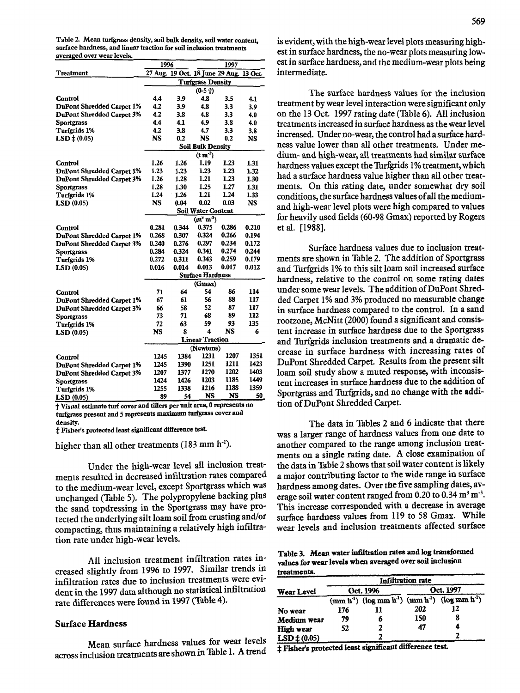Table 2. Mean turfgrass density, soil bulk density, soil water content, surface hardness, and linear traction for soil inclusion treatments averaged over wear levels.

|                                  | 1996                     |       | 1997                                    |       |           |
|----------------------------------|--------------------------|-------|-----------------------------------------|-------|-----------|
| Treatment                        |                          |       | 27 Aug. 19 Oct. 18 June 29 Aug. 13 Oct. |       |           |
|                                  | <b>Turfgrass Density</b> |       |                                         |       |           |
|                                  |                          |       | $(0-5)$                                 |       |           |
| Control                          | 4.4                      | 3.9   | 4.8                                     | 3.5   | 4.1       |
| <b>DuPont Shredded Carpet 1%</b> | 4.2                      | 3.9   | 4.8                                     | 3.3   | 3.9       |
| <b>DuPont Shredded Carpet 3%</b> | 4.2                      | 3.8   | 4.8                                     | 3.3   | 4.0       |
| <b>Sportgrass</b>                | 4.4                      | 4.1   | 4.9                                     | 3.8   | 4.0       |
| Turfgrids 1%                     | 4.2                      | 3.8   | 4.7                                     | 3.3   | 3.8       |
| $LSD \ddagger (0.05)$            | <b>NS</b>                | 0.2   | <b>NS</b>                               | 0.2   | <b>NS</b> |
|                                  |                          |       | <b>Soil Bulk Density</b>                |       |           |
|                                  |                          |       | $(\text{t m}^3)$                        |       |           |
| Control                          | 1.26                     | 1.26  | 1.19                                    | 1.23  | 1.31      |
| <b>DuPont Shredded Carpet 1%</b> | 1.23                     | 1.23  | 1.23                                    | 1.23  | 1.32      |
| <b>DuPont Shredded Carpet 3%</b> | 1.26                     | 1.28  | 1.21                                    | 1.23  | 1.30      |
| <b>Sportgrass</b>                | 1.28                     | 1.30  | 1.25                                    | 1.27  | 1.31      |
| Turfgrids 1%                     | 1.24                     | 1.26  | 1.21                                    | 1.24  | 1.33      |
| <b>LSD</b> (0.05)                | <b>NS</b>                | 0.04  | 0.02                                    | 0.03  | NS        |
|                                  |                          |       | <b>Soil Water Content</b>               |       |           |
|                                  |                          |       | $(m^3 m^3)$                             |       |           |
| Control                          | 0.281                    | 0.344 | 0.375                                   | 0.286 | 0.210     |
| <b>DuPont Shredded Carpet 1%</b> | 0.268                    | 0.307 | 0.324                                   | 0.266 | 0.194     |
| DuPont Shredded Carpet 3%        | 0.240                    | 0.276 | 0.297                                   | 0.234 | 0.172     |
| Sportgrass                       | 0.284                    | 0.324 | 0.341                                   | 0.274 | 0.244     |
| <b>Turfgrids 1%</b>              | 0.272                    | 0.311 | 0.343                                   | 0.259 | 0.179     |
| LSD(0.05)                        | 0.016                    | 0.014 | 0.013                                   | 0.017 | 0.012     |
|                                  | <b>Surface Hardness</b>  |       |                                         |       |           |
|                                  | (Gmax)                   |       |                                         |       |           |
| Control                          | 71                       | 64    | 54                                      | 86    | 114       |
| DuPont Shredded Carpet 1%        | 67                       | 61    | 56                                      | 88    | 117       |
| <b>DuPont Shredded Carpet 3%</b> | 66                       | 58    | 52                                      | 87    | 117       |
| <b>Sportgrass</b>                | 73                       | 71    | 68                                      | 89    | 112       |
| Turfgrids 1%                     | 72                       | 63    | 59                                      | 93    | 135       |
| <b>LSD</b> (0.05)                | NS                       | 8     | 4                                       | NS    | 6         |
|                                  | <b>Linear Traction</b>   |       |                                         |       |           |
|                                  | (Newtons)                |       |                                         |       |           |
| Control                          | 1245                     | 1384  | 1231                                    | 1207  | 1351      |
| DuPont Shredded Carpet 1%        | 1245                     | 1390  | 1251                                    | 1211  | 1423      |
| <b>DuPont Shredded Carpet 3%</b> | 1207                     | 1377  | 1270                                    | 1202  | 1403      |
| <b>Sportgrass</b>                | 1424                     | 1426  | 1203                                    | 1185  | 1449      |
| Turfgrids 1%                     | 1255                     | 1338  | 1216                                    | 1188  | 1359      |
| <b>LSD</b> (0.05)                | 89                       | 54    | <b>NS</b>                               | NS    | 50        |

t Visual estimate turf covet and tillers per unit area, <sup>0</sup> represents no turfgrass present and 5 represents maximum turfgrass cover and density.

:j:Fisher's protected least significant difference test.

higher than all other treatments (183 mm h'l).

Under the high-wear level all inclusion treatments resulted in decreased infIltration rates compared to the medium-wear level, except Sportgrass which was unchanged (Table 5). The polypropylene backing plus the sand topdressing in the Sportgrass may have protected the underlying silt loam soil from crusting and/or compacting, thus maintaining a relatively high infiltration rate under high-wear levels.

All inclusion treatment infiltration rates increased slightly from 1996 to 1997. Similar trends in infiltration rates due to inclusion treatments were evident in the 1997 data although no statistical infiltration rate differences were found in 1997 (Table 4).

# Surface Hardness

Mean surface hardness values for wear levels across inclusion treatments are shown in Table 1. A trend is evident, with the high-wear level plots measuring highest in surface hardness, the no-wear plots measuring lowest in surface hardness, and the medium-wear plots being intermediate.

The surface hardness values for the inclusion treatment by wear level interaction were significant only on the 13 Oct. 1997 rating date (Table 6). All inclusion treatments increased in surface hardness as the wear level increased. Under no-wear, the control had a surface hardness value lower than all other treatments. Under medium- and high-wear, all treatments had similar surface hardness values except the Turfgrids 1% treatment, which had a surface hardness value higher than all other treatments. On this rating date, under somewhat dry soil conditions, the surface hardness values of all the mediumand high-wear level plots were high compared to values for heavily used fields (60-98 Gmax) reported by Rogers et al. [1988].

Surface hardness values due to inclusion treatments are shown in Table 2. The addition of Sportgrass and Turfgrids 1% to this silt loam soil increased surface hardness, relative to the control on some rating dates under some wear levels. The addition of DuPont Shredded Carpet 1% and 3% produced no measurable change in surface hardness compared to the control. In a sand rootzone, McNitt (2000) found a significant and consistent increase in surface hardness due to the Sportgrass and Turfgrids inclusion treatments and a dramatic decrease in surface hardness with increasing rates of DuPont Shredded Carpet. Results from the present silt loam soil study show a muted response, with inconsistent increases in surface hardness due to the addition of Sportgrass and Turfgrids, and no change with the addition of DuPont Shredded Carpet.

The data in Tables 2 and 6 indicate that there was a larger range of hardness values from one date to another compared to the range among inclusion treatments on a single rating date. A close examination of the data in Table 2 shows that soil water content is likely a major contributing factor to the wide range in surface hardness among dates. Over the five sampling dates, average soil water content ranged from 0.20 to 0.34  $\text{m}^3 \text{ m}^3$ This increase corresponded with a decrease in average surface hardness values from 119 to 58 Gmax. While wear levels and inclusion treatments affected surface

Table 3. Mean water infiltration rates and log transformed values for wear levels when averaged over soil inclusion treatments.

|                         | Infiltration rate                                                         |           |           |    |  |  |
|-------------------------|---------------------------------------------------------------------------|-----------|-----------|----|--|--|
| Wear Level              |                                                                           | Oct. 1996 | Oct. 1997 |    |  |  |
|                         | $(nm h-1)$ (log mm h <sup>-1</sup> ) $(nm h-1)$ (log mm h <sup>-1</sup> ) |           |           |    |  |  |
| No wear                 | 176                                                                       | 11        | 202       | 12 |  |  |
| Medium wear             | 79                                                                        |           | 150       |    |  |  |
| High wear               | 52                                                                        |           | 47        |    |  |  |
| $LSD$ $\ddagger$ (0.05) |                                                                           |           |           |    |  |  |

:f: FIsher's protected least significant difference test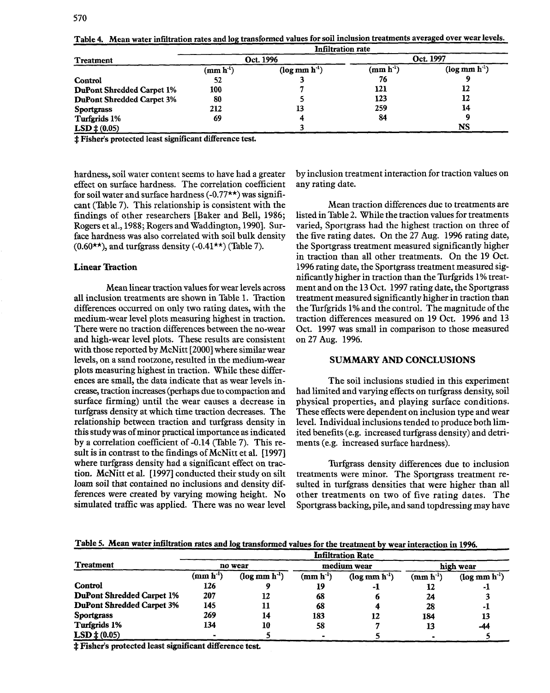|                                  | <b>Infiltration rate</b> |                 |            |                 |  |
|----------------------------------|--------------------------|-----------------|------------|-----------------|--|
| <b>Treatment</b>                 |                          | Oct. 1996       | Oct. 1997  |                 |  |
|                                  | $(\text{mm h}^1)$        | $(\log mn h^3)$ | $(mm h-1)$ | $(\log mn h^1)$ |  |
| <b>Control</b>                   | 52                       |                 | 76         |                 |  |
| <b>DuPont Shredded Carpet 1%</b> | 100                      |                 | 121        | 12              |  |
| <b>DuPont Shredded Carpet 3%</b> | 80                       |                 | 123        | 12              |  |
| <b>Sportgrass</b>                | 212                      | 13              | 259        | 14              |  |
| Turfgrids 1%                     | 69                       |                 | 84         |                 |  |
| $LSD \ddagger (0.05)$            |                          |                 |            | NS              |  |

Table 4. Mean water infiltration rates and log transformed values for soil inclusion treatments averaged over wear levels.

:f:Fisher's protected least significant difference test

hardness, soil water content seems to have had a greater effect on surface hardness. The correlation coefficient for soil water and surface hardness  $(-0.77**)$  was significant (Table 7). This relationship is consistent with the findings of other researchers [Baker and Bell, 1986; Rogers et aI., 1988; Rogers and Waddington, 1990]. Surface hardness was also correlated with soil bulk density  $(0.60<sup>**</sup>)$ , and turfgrass density  $(-0.41**)$  (Table 7).

# Linear Traction

Mean linear traction values for wear levels across all inclusion treatments are shown in Table 1. Traction differences occurred on only two rating dates, with the medium-wear level plots measuring highest in traction. There were no traction differences between the no-wear and high-wear level plots. These results are consistent with those reported by McNitt [2000] where similar wear levels, on a sand rootzone, resulted in the medium-wear plots measuring highest in traction. While these differences are small, the data indicate that as wear levels increase, traction increases (perhaps due to compaction and surface firming) until the wear causes a decrease in turfgrass density at which time traction decreases. The relationship between traction and turfgrass density in this study was of minor practical importance as indicated by a correlation coefficient of -0.14 (Table 7). This result is in contrast to the findings of McNitt et al. [1997] where turfgrass density had a significant effect on traction. McNitt et al. [1997] conducted their study on silt loam soil that contained no inclusions and density differences were created by varying mowing height. No simulated traffic was applied. There was no wear level by inclusion treatment interaction for traction values on any rating date.

Mean traction differences due to treatments are listed in Table 2. While the traction values for treatments varied, Sportgrass had the highest traction on three of the five rating dates. On the 27 Aug. 1996 rating date, the Sportgrass treatment measured significantly higher in traction than all other treatments. On the 19 Oct. 1996 rating date, the Sportgrass treatment measured significantly higher in traction than the Turfgrids 1% treatment and on the 13 Oct. 1997 rating date, the Sportgrass treatment measured significantly higher in traction than the Turfgrids 1% and the control. The magnitude of the traction differences measured on 19 Oct. 1996 and 13 Oct. 1997 was small in comparison to those measured on 27 Aug. 1996.

### SUMMARY AND CONCLUSIONS

The soil inclusions studied in this experiment had limited and varying effects on turfgrass density, soil physical properties, and playing surface conditions. These effects were dependent on inclusion type and wear level. Individual inclusions tended to produce both limited benefits (e.g. increased turfgrass density) and detriments (e.g. increased surface hardness).

Turfgrass density differences due to inclusion treatments were minor. The Sportgrass treatment resulted in turfgrass densities that were higher than all other treatments on two of five rating dates. The Sportgrass backing, pile, and sand topdressing may have

Table 5. Mean water infiltration rates and log transformed values for the treatment by wear interaction in 1996.

|                                  | <b>Infiltration Rate</b> |                    |                            |                 |                                  |                 |  |
|----------------------------------|--------------------------|--------------------|----------------------------|-----------------|----------------------------------|-----------------|--|
| <b>Treatment</b>                 | no wear                  |                    | medium wear                |                 | high wear                        |                 |  |
|                                  | $(mm h^{-1})$            | $(\log mn h^{-1})$ | $(\bf{mm} \; \bf{h}^{-1})$ | $(\log mn h^1)$ | $(\mathbf{mm}\ \mathbf{h}^{-1})$ | $(\log mn h^1)$ |  |
| <b>Control</b>                   | 126                      |                    | 19                         | -1              | 12                               | - 1             |  |
| <b>DuPont Shredded Carpet 1%</b> | 207                      | 12                 | 68                         | o               | 24                               |                 |  |
| <b>DuPont Shredded Carpet 3%</b> | 145                      |                    | 68                         |                 | 28                               | - 1             |  |
| <b>Sportgrass</b>                | 269                      | 14                 | 183                        | 12              | 184                              | 13              |  |
| Turfgrids 1%                     | 134                      | 10                 | 58                         |                 | 13                               | -44             |  |
| $LSD \nmid (0.05)$               |                          |                    |                            |                 |                                  |                 |  |
|                                  | --<br>---                |                    |                            |                 |                                  |                 |  |

:I:Fisher's protected least significant difference test.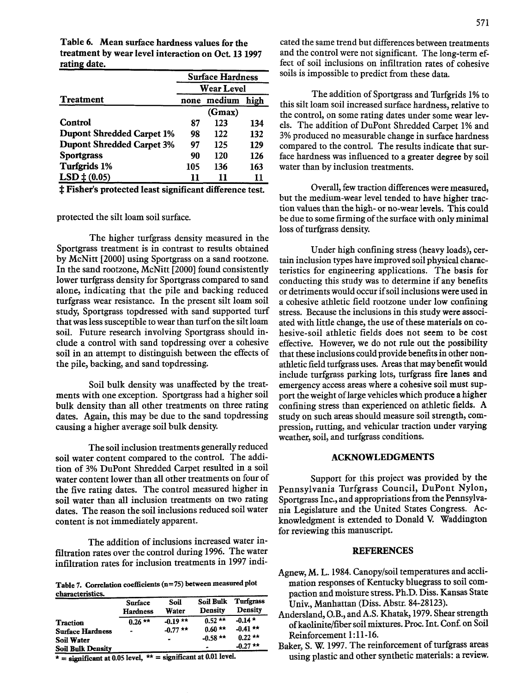Table 6. Mean surface hardness values for the treatment by wear level interaction on Oct. 13 1997 rating date.

|                                  | <b>Surface Hardness</b> |        |     |  |
|----------------------------------|-------------------------|--------|-----|--|
|                                  | <b>Wear Level</b>       |        |     |  |
| <b>Treatment</b>                 | medium<br>high<br>none  |        |     |  |
|                                  |                         | (Gmax) |     |  |
| Control                          | 87                      | 123    | 134 |  |
| <b>Dupont Shredded Carpet 1%</b> | 98                      | 122    | 132 |  |
| <b>Dupont Shredded Carpet 3%</b> | 97                      | 125    | 129 |  |
| <b>Sportgrass</b>                | 90                      | 120    | 126 |  |
| Turfgrids 1%                     | 105                     | 136    | 163 |  |
| $LSD \n\pm (0.05)$               | 11                      | 11     | 11  |  |

t Fisher's protected least significant difference test.

# protected the silt loam soil surface.

The higher turfgrass density measured in the Sportgrass treatment is in contrast to results obtained by McNitt [2000] using Sportgrass on a sand rootzone. In the sand rootzone, McNitt [2000] found consistently lower turfgrass density for Sportgrass compared to sand alone, indicating that the pile and backing reduced turfgrass wear resistance. In the present silt loam soil study, Sportgrass topdressed with sand supported turf that was less susceptible to wear than turf on the silt loam soil. Future research involving Sportgrass should include a control with sand topdressing over a cohesive soil in an attempt to distinguish between the effects of the pile, backing, and sand topdressing.

Soil bulk density was unaffected by the treatments with one exception. Sportgrass had a higher soil bulk density than all other treatments on three rating dates. Again, this may be due to the sand topdressing causing a higher average soil bulk density.

The soil inclusion treatments generally reduced soil water content compared to the control. The addition of 3% DuPont Shredded Carpet resulted in a soil water content lower than all other treatments on four of the five rating dates. The control measured higher in soil water than all inclusion treatments on two rating dates. The reason the soil inclusions reduced soil water content is not immediately apparent.

The addition of inclusions increased water infiltration rates over the control during 19%. The water infiltration rates for inclusion treatments in 1997 indi-

Table 7. Correlation coefficients (n=75) between measured plot characteristics.

| <b>ANDREW PARTIERS AND AND REAL</b> | Surface<br><b>Hardness</b> | Soil<br>Water  | <b>Soil Bulk</b><br>Density | <b>Turfgrass</b><br><b>Density</b> |
|-------------------------------------|----------------------------|----------------|-----------------------------|------------------------------------|
| <b>Traction</b>                     | $0.26$ **                  | $-0.19**$      | $0.52**$                    | $-0.14*$                           |
| <b>Surface Hardness</b>             | ۰                          | $-0.77$ **     | $0.60**$                    | $-0.41**$                          |
| Soil Water                          |                            | $\blacksquare$ | $-0.58$ **                  | $0.22**$                           |
| <b>Soil Bulk Density</b>            |                            |                |                             | $-0.27$ **                         |

 $\overline{\star}$  = significant at 0.05 level,  $\overline{\star}$  = significant at 0.01 level.

cated the same trend but differences between treatments and the control were not significant. The long-term effect of soil inclusions on infiltration rates of cohesive soils is impossible to predict from these data.

The addition of Sportgrass and Turfgrids 1% to this silt loam soil increased surface hardness, relative to the control, on some rating dates under some wear levels. The addition of DuPont Shredded Carpet 1% and 3%produced no measurable change in surface hardness compared to the control. The results indicate that surface hardness was influenced to a greater degree by soil water than by inclusion treatments.

Overall, few traction differences were measured, but the medium-wear level tended to have higher traction values than the high- or no-wear levels. This could be due to some firming of the surface with only minimal loss of turfgrass density.

Under high confining stress (heavy loads), certain inclusion types have improved soil physical characteristics for engineering applications. The basis for conducting this study was to determine if any benefits or detriments would occur if soil inclusions were used in a cohesive athletic field rootzone under low confining stress. Because the inclusions in this study were associated with little change, the use of these materials on cohesive-soil athletic fields does not seem to be cost effective. However, we do not rule out the possibility that these inclusions could provide benefits in other nonathletic field turfgrass uses. Areas that may benefit would include turfgrass parking lots, turfgrass fire lanes and emergency access areas where a cohesive soil must support the weight of large vehicles which produce a higher confining stress than experienced on athletic fields. A study on such areas should measure soil strength, compression, rutting, and vehicular traction under varying weather, soil, and turfgrass conditions.

#### ACKNOWLEDGMENTS

Support for this project was provided by the Pennsylvania Turfgrass Council, DuPont Nylon, Sportgrass Inc., and appropriations from the Pennsylvania Legislature and the United States Congress. Acknowledgment is extended to Donald V. Waddington for reviewing this manuscript.

# REFERENCES

- Agnew,M. L. 1984.Canopy/soil temperatures and acclimation responses of Kentucky bluegrass to soil compaction and moisture stress.Ph.D. Diss. Kansas State Univ., Manhattan (Diss. Abstr. 84-28123).
- Andersland, O.B., and A.S. Khatak, 1979. Shear strength of kaolinite/fiber soil mixtures. Proc. Int. Conf. on Soil Reinforcement 1:11-16.
- Baker, S. W. 1997. The reinforcement of turfgrass areas using plastic and other synthetic materials: a review.